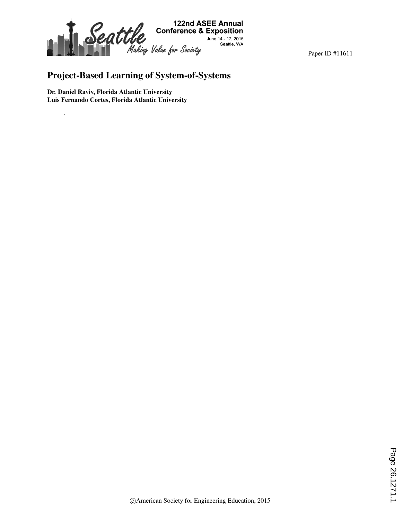

Paper ID #11611

# Project-Based Learning of System-of-Systems

Dr. Daniel Raviv, Florida Atlantic University Luis Fernando Cortes, Florida Atlantic University

.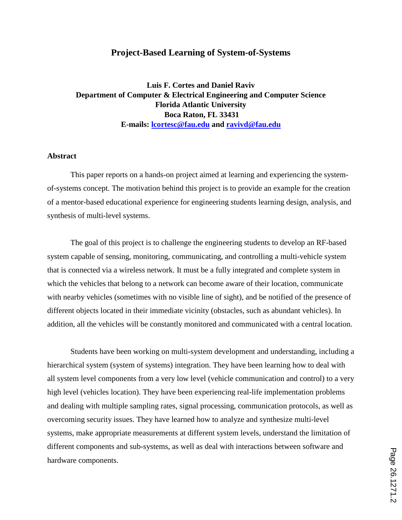## **Project-Based Learning of System-of-Systems**

**Luis F. Cortes and Daniel Raviv Department of Computer & Electrical Engineering and Computer Science Florida Atlantic University Boca Raton, FL 33431 E-mails: lcortesc@fau.edu and ravivd@fau.edu**

#### **Abstract**

This paper reports on a hands-on project aimed at learning and experiencing the systemof-systems concept. The motivation behind this project is to provide an example for the creation of a mentor-based educational experience for engineering students learning design, analysis, and synthesis of multi-level systems.

The goal of this project is to challenge the engineering students to develop an RF-based system capable of sensing, monitoring, communicating, and controlling a multi-vehicle system that is connected via a wireless network. It must be a fully integrated and complete system in which the vehicles that belong to a network can become aware of their location, communicate with nearby vehicles (sometimes with no visible line of sight), and be notified of the presence of different objects located in their immediate vicinity (obstacles, such as abundant vehicles). In addition, all the vehicles will be constantly monitored and communicated with a central location.

Students have been working on multi-system development and understanding, including a hierarchical system (system of systems) integration. They have been learning how to deal with all system level components from a very low level (vehicle communication and control) to a very high level (vehicles location). They have been experiencing real-life implementation problems and dealing with multiple sampling rates, signal processing, communication protocols, as well as overcoming security issues. They have learned how to analyze and synthesize multi-level systems, make appropriate measurements at different system levels, understand the limitation of different components and sub-systems, as well as deal with interactions between software and hardware components.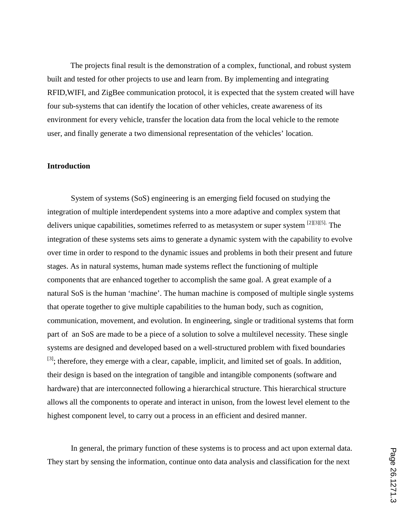The projects final result is the demonstration of a complex, functional, and robust system built and tested for other projects to use and learn from. By implementing and integrating RFID,WIFI, and ZigBee communication protocol, it is expected that the system created will have four sub-systems that can identify the location of other vehicles, create awareness of its environment for every vehicle, transfer the location data from the local vehicle to the remote user, and finally generate a two dimensional representation of the vehicles' location.

## **Introduction**

System of systems (SoS) engineering is an emerging field focused on studying the integration of multiple interdependent systems into a more adaptive and complex system that delivers unique capabilities, sometimes referred to as metasystem or super system [2][3][5]. The integration of these systems sets aims to generate a dynamic system with the capability to evolve over time in order to respond to the dynamic issues and problems in both their present and future stages. As in natural systems, human made systems reflect the functioning of multiple components that are enhanced together to accomplish the same goal. A great example of a natural SoS is the human 'machine'. The human machine is composed of multiple single systems that operate together to give multiple capabilities to the human body, such as cognition, communication, movement, and evolution. In engineering, single or traditional systems that form part of an SoS are made to be a piece of a solution to solve a multilevel necessity. These single systems are designed and developed based on a well-structured problem with fixed boundaries  $[3]$ ; therefore, they emerge with a clear, capable, implicit, and limited set of goals. In addition, their design is based on the integration of tangible and intangible components (software and hardware) that are interconnected following a hierarchical structure. This hierarchical structure allows all the components to operate and interact in unison, from the lowest level element to the highest component level, to carry out a process in an efficient and desired manner.

In general, the primary function of these systems is to process and act upon external data. They start by sensing the information, continue onto data analysis and classification for the next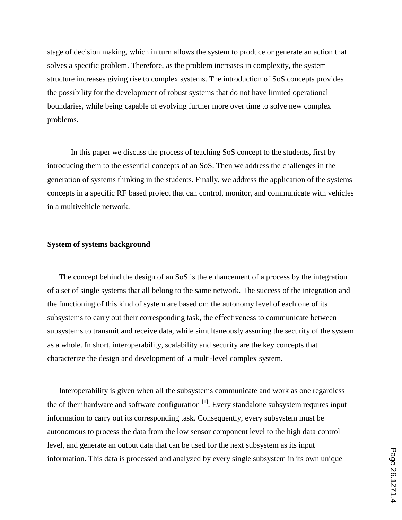stage of decision making, which in turn allows the system to produce or generate an action that solves a specific problem. Therefore, as the problem increases in complexity, the system structure increases giving rise to complex systems. The introduction of SoS concepts provides the possibility for the development of robust systems that do not have limited operational boundaries, while being capable of evolving further more over time to solve new complex problems.

In this paper we discuss the process of teaching SoS concept to the students, first by introducing them to the essential concepts of an SoS. Then we address the challenges in the generation of systems thinking in the students. Finally, we address the application of the systems concepts in a specific RF-based project that can control, monitor, and communicate with vehicles in a multivehicle network.

#### **System of systems background**

The concept behind the design of an SoS is the enhancement of a process by the integration of a set of single systems that all belong to the same network. The success of the integration and the functioning of this kind of system are based on: the autonomy level of each one of its subsystems to carry out their corresponding task, the effectiveness to communicate between subsystems to transmit and receive data, while simultaneously assuring the security of the system as a whole. In short, interoperability, scalability and security are the key concepts that characterize the design and development of a multi-level complex system.

Interoperability is given when all the subsystems communicate and work as one regardless the of their hardware and software configuration  $\left[1\right]$ . Every standalone subsystem requires input information to carry out its corresponding task. Consequently, every subsystem must be autonomous to process the data from the low sensor component level to the high data control level, and generate an output data that can be used for the next subsystem as its input information. This data is processed and analyzed by every single subsystem in its own unique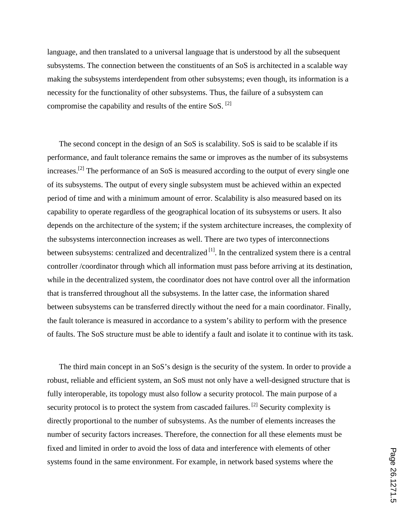language, and then translated to a universal language that is understood by all the subsequent subsystems. The connection between the constituents of an SoS is architected in a scalable way making the subsystems interdependent from other subsystems; even though, its information is a necessity for the functionality of other subsystems. Thus, the failure of a subsystem can compromise the capability and results of the entire SoS.  $^{[2]}$ 

The second concept in the design of an SoS is scalability. SoS is said to be scalable if its performance, and fault tolerance remains the same or improves as the number of its subsystems increases.<sup>[2]</sup> The performance of an SoS is measured according to the output of every single one of its subsystems. The output of every single subsystem must be achieved within an expected period of time and with a minimum amount of error. Scalability is also measured based on its capability to operate regardless of the geographical location of its subsystems or users. It also depends on the architecture of the system; if the system architecture increases, the complexity of the subsystems interconnection increases as well. There are two types of interconnections between subsystems: centralized and decentralized  $[1]$ . In the centralized system there is a central controller /coordinator through which all information must pass before arriving at its destination, while in the decentralized system, the coordinator does not have control over all the information that is transferred throughout all the subsystems. In the latter case, the information shared between subsystems can be transferred directly without the need for a main coordinator. Finally, the fault tolerance is measured in accordance to a system's ability to perform with the presence of faults. The SoS structure must be able to identify a fault and isolate it to continue with its task.

The third main concept in an SoS's design is the security of the system. In order to provide a robust, reliable and efficient system, an SoS must not only have a well-designed structure that is fully interoperable, its topology must also follow a security protocol. The main purpose of a security protocol is to protect the system from cascaded failures.<sup>[2]</sup> Security complexity is directly proportional to the number of subsystems. As the number of elements increases the number of security factors increases. Therefore, the connection for all these elements must be fixed and limited in order to avoid the loss of data and interference with elements of other systems found in the same environment. For example, in network based systems where the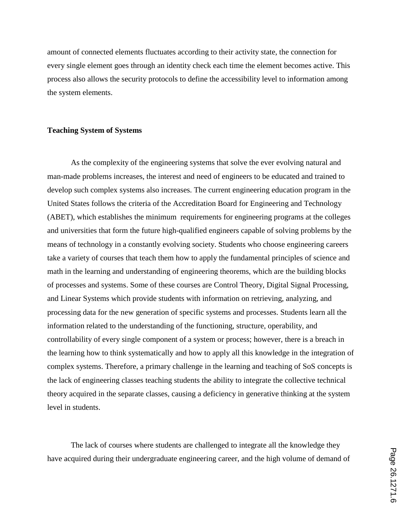amount of connected elements fluctuates according to their activity state, the connection for every single element goes through an identity check each time the element becomes active. This process also allows the security protocols to define the accessibility level to information among the system elements.

### **Teaching System of Systems**

As the complexity of the engineering systems that solve the ever evolving natural and man-made problems increases, the interest and need of engineers to be educated and trained to develop such complex systems also increases. The current engineering education program in the United States follows the criteria of the Accreditation Board for Engineering and Technology (ABET), which establishes the minimum requirements for engineering programs at the colleges and universities that form the future high-qualified engineers capable of solving problems by the means of technology in a constantly evolving society. Students who choose engineering careers take a variety of courses that teach them how to apply the fundamental principles of science and math in the learning and understanding of engineering theorems, which are the building blocks of processes and systems. Some of these courses are Control Theory, Digital Signal Processing, and Linear Systems which provide students with information on retrieving, analyzing, and processing data for the new generation of specific systems and processes. Students learn all the information related to the understanding of the functioning, structure, operability, and controllability of every single component of a system or process; however, there is a breach in the learning how to think systematically and how to apply all this knowledge in the integration of complex systems. Therefore, a primary challenge in the learning and teaching of SoS concepts is the lack of engineering classes teaching students the ability to integrate the collective technical theory acquired in the separate classes, causing a deficiency in generative thinking at the system level in students.

The lack of courses where students are challenged to integrate all the knowledge they have acquired during their undergraduate engineering career, and the high volume of demand of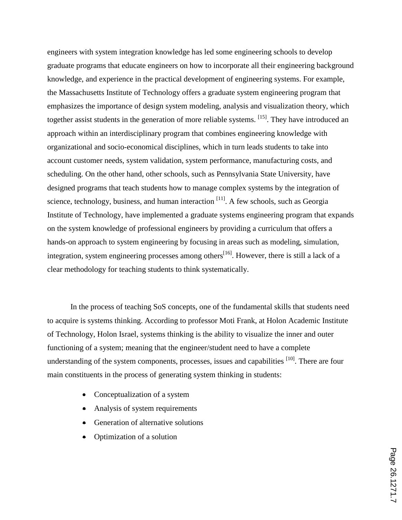engineers with system integration knowledge has led some engineering schools to develop graduate programs that educate engineers on how to incorporate all their engineering background knowledge, and experience in the practical development of engineering systems. For example, the Massachusetts Institute of Technology offers a graduate system engineering program that emphasizes the importance of design system modeling, analysis and visualization theory, which together assist students in the generation of more reliable systems. <sup>[15]</sup>. They have introduced an approach within an interdisciplinary program that combines engineering knowledge with organizational and socio-economical disciplines, which in turn leads students to take into account customer needs, system validation, system performance, manufacturing costs, and scheduling. On the other hand, other schools, such as Pennsylvania State University, have designed programs that teach students how to manage complex systems by the integration of science, technology, business, and human interaction <sup>[11]</sup>. A few schools, such as Georgia Institute of Technology, have implemented a graduate systems engineering program that expands on the system knowledge of professional engineers by providing a curriculum that offers a hands-on approach to system engineering by focusing in areas such as modeling, simulation, integration, system engineering processes among others<sup>[16]</sup>. However, there is still a lack of a clear methodology for teaching students to think systematically.

In the process of teaching SoS concepts, one of the fundamental skills that students need to acquire is systems thinking. According to professor Moti Frank, at Holon Academic Institute of Technology, Holon Israel, systems thinking is the ability to visualize the inner and outer functioning of a system; meaning that the engineer/student need to have a complete understanding of the system components, processes, issues and capabilities [10]. There are four main constituents in the process of generating system thinking in students:

- Conceptualization of a system
- Analysis of system requirements
- Generation of alternative solutions
- Optimization of a solution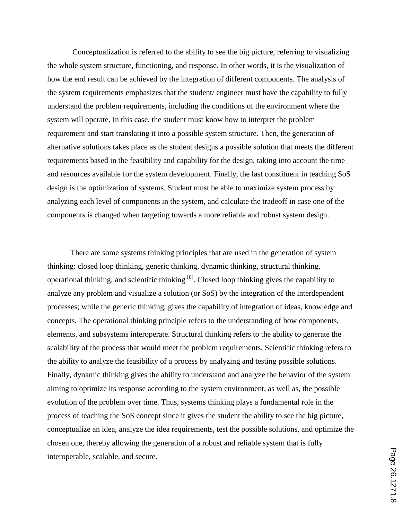Conceptualization is referred to the ability to see the big picture, referring to visualizing the whole system structure, functioning, and response. In other words, it is the visualization of how the end result can be achieved by the integration of different components. The analysis of the system requirements emphasizes that the student/ engineer must have the capability to fully understand the problem requirements, including the conditions of the environment where the system will operate. In this case, the student must know how to interpret the problem requirement and start translating it into a possible system structure. Then, the generation of alternative solutions takes place as the student designs a possible solution that meets the different requirements based in the feasibility and capability for the design, taking into account the time and resources available for the system development. Finally, the last constituent in teaching SoS design is the optimization of systems. Student must be able to maximize system process by analyzing each level of components in the system, and calculate the tradeoff in case one of the components is changed when targeting towards a more reliable and robust system design.

There are some systems thinking principles that are used in the generation of system thinking: closed loop thinking, generic thinking, dynamic thinking, structural thinking, operational thinking, and scientific thinking [8]. Closed loop thinking gives the capability to analyze any problem and visualize a solution (or SoS) by the integration of the interdependent processes; while the generic thinking, gives the capability of integration of ideas, knowledge and concepts. The operational thinking principle refers to the understanding of how components, elements, and subsystems interoperate. Structural thinking refers to the ability to generate the scalability of the process that would meet the problem requirements. Scientific thinking refers to the ability to analyze the feasibility of a process by analyzing and testing possible solutions. Finally, dynamic thinking gives the ability to understand and analyze the behavior of the system aiming to optimize its response according to the system environment, as well as, the possible evolution of the problem over time. Thus, systems thinking plays a fundamental role in the process of teaching the SoS concept since it gives the student the ability to see the big picture, conceptualize an idea, analyze the idea requirements, test the possible solutions, and optimize the chosen one, thereby allowing the generation of a robust and reliable system that is fully interoperable, scalable, and secure.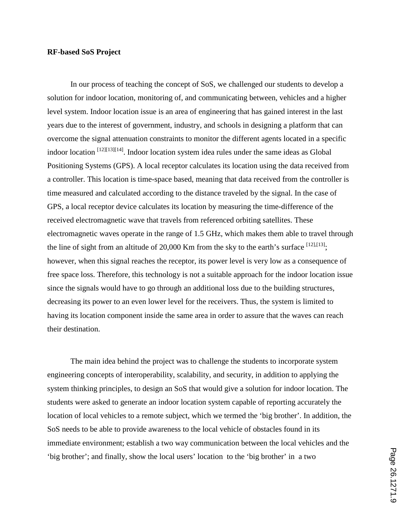## **RF-based SoS Project**

In our process of teaching the concept of SoS, we challenged our students to develop a solution for indoor location, monitoring of, and communicating between, vehicles and a higher level system. Indoor location issue is an area of engineering that has gained interest in the last years due to the interest of government, industry, and schools in designing a platform that can overcome the signal attenuation constraints to monitor the different agents located in a specific indoor location <sup>[12][13][14]</sup>. Indoor location system idea rules under the same ideas as Global Positioning Systems (GPS). A local receptor calculates its location using the data received from a controller. This location is time-space based, meaning that data received from the controller is time measured and calculated according to the distance traveled by the signal. In the case of GPS, a local receptor device calculates its location by measuring the time-difference of the received electromagnetic wave that travels from referenced orbiting satellites. These electromagnetic waves operate in the range of 1.5 GHz, which makes them able to travel through the line of sight from an altitude of 20,000 Km from the sky to the earth's surface  $[12],[13]$ ; however, when this signal reaches the receptor, its power level is very low as a consequence of free space loss. Therefore, this technology is not a suitable approach for the indoor location issue since the signals would have to go through an additional loss due to the building structures, decreasing its power to an even lower level for the receivers. Thus, the system is limited to having its location component inside the same area in order to assure that the waves can reach their destination.

The main idea behind the project was to challenge the students to incorporate system engineering concepts of interoperability, scalability, and security, in addition to applying the system thinking principles, to design an SoS that would give a solution for indoor location. The students were asked to generate an indoor location system capable of reporting accurately the location of local vehicles to a remote subject, which we termed the 'big brother'. In addition, the SoS needs to be able to provide awareness to the local vehicle of obstacles found in its immediate environment; establish a two way communication between the local vehicles and the 'big brother'; and finally, show the local users' location to the 'big brother' in a two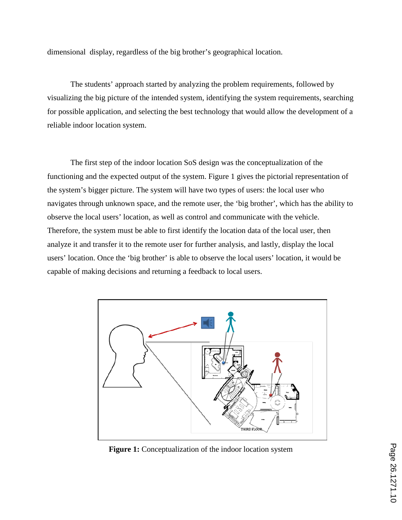dimensional display, regardless of the big brother's geographical location.

The students' approach started by analyzing the problem requirements, followed by visualizing the big picture of the intended system, identifying the system requirements, searching for possible application, and selecting the best technology that would allow the development of a reliable indoor location system.

The first step of the indoor location SoS design was the conceptualization of the functioning and the expected output of the system. Figure 1 gives the pictorial representation of the system's bigger picture. The system will have two types of users: the local user who navigates through unknown space, and the remote user, the 'big brother', which has the ability to observe the local users' location, as well as control and communicate with the vehicle. Therefore, the system must be able to first identify the location data of the local user, then analyze it and transfer it to the remote user for further analysis, and lastly, display the local users' location. Once the 'big brother' is able to observe the local users' location, it would be capable of making decisions and returning a feedback to local users.



**Figure 1:** Conceptualization of the indoor location system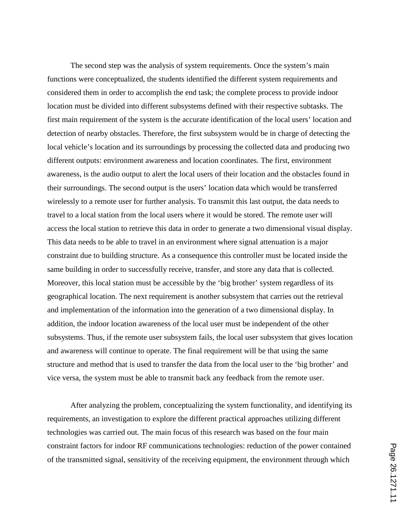The second step was the analysis of system requirements. Once the system's main functions were conceptualized, the students identified the different system requirements and considered them in order to accomplish the end task; the complete process to provide indoor location must be divided into different subsystems defined with their respective subtasks. The first main requirement of the system is the accurate identification of the local users' location and detection of nearby obstacles. Therefore, the first subsystem would be in charge of detecting the local vehicle's location and its surroundings by processing the collected data and producing two different outputs: environment awareness and location coordinates. The first, environment awareness, is the audio output to alert the local users of their location and the obstacles found in their surroundings. The second output is the users' location data which would be transferred wirelessly to a remote user for further analysis. To transmit this last output, the data needs to travel to a local station from the local users where it would be stored. The remote user will access the local station to retrieve this data in order to generate a two dimensional visual display. This data needs to be able to travel in an environment where signal attenuation is a major constraint due to building structure. As a consequence this controller must be located inside the same building in order to successfully receive, transfer, and store any data that is collected. Moreover, this local station must be accessible by the 'big brother' system regardless of its geographical location. The next requirement is another subsystem that carries out the retrieval and implementation of the information into the generation of a two dimensional display. In addition, the indoor location awareness of the local user must be independent of the other subsystems. Thus, if the remote user subsystem fails, the local user subsystem that gives location and awareness will continue to operate. The final requirement will be that using the same structure and method that is used to transfer the data from the local user to the 'big brother' and vice versa, the system must be able to transmit back any feedback from the remote user.

After analyzing the problem, conceptualizing the system functionality, and identifying its requirements, an investigation to explore the different practical approaches utilizing different technologies was carried out. The main focus of this research was based on the four main constraint factors for indoor RF communications technologies: reduction of the power contained of the transmitted signal, sensitivity of the receiving equipment, the environment through which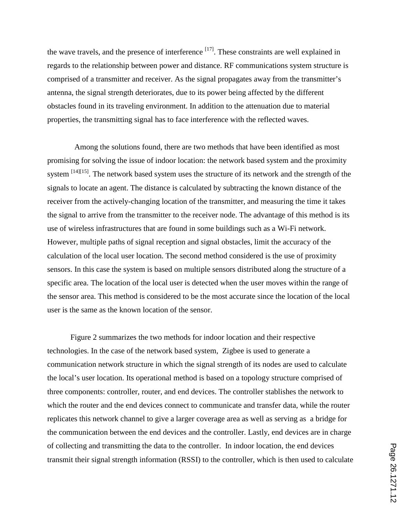the wave travels, and the presence of interference  $[17]$ . These constraints are well explained in regards to the relationship between power and distance. RF communications system structure is comprised of a transmitter and receiver. As the signal propagates away from the transmitter's antenna, the signal strength deteriorates, due to its power being affected by the different obstacles found in its traveling environment. In addition to the attenuation due to material properties, the transmitting signal has to face interference with the reflected waves.

Among the solutions found, there are two methods that have been identified as most promising for solving the issue of indoor location: the network based system and the proximity system <sup>[14][15]</sup>. The network based system uses the structure of its network and the strength of the signals to locate an agent. The distance is calculated by subtracting the known distance of the receiver from the actively-changing location of the transmitter, and measuring the time it takes the signal to arrive from the transmitter to the receiver node. The advantage of this method is its use of wireless infrastructures that are found in some buildings such as a Wi-Fi network. However, multiple paths of signal reception and signal obstacles, limit the accuracy of the calculation of the local user location. The second method considered is the use of proximity sensors. In this case the system is based on multiple sensors distributed along the structure of a specific area. The location of the local user is detected when the user moves within the range of the sensor area. This method is considered to be the most accurate since the location of the local user is the same as the known location of the sensor.

Figure 2 summarizes the two methods for indoor location and their respective technologies. In the case of the network based system, Zigbee is used to generate a communication network structure in which the signal strength of its nodes are used to calculate the local's user location. Its operational method is based on a topology structure comprised of three components: controller, router, and end devices. The controller stablishes the network to which the router and the end devices connect to communicate and transfer data, while the router replicates this network channel to give a larger coverage area as well as serving as a bridge for the communication between the end devices and the controller. Lastly, end devices are in charge of collecting and transmitting the data to the controller. In indoor location, the end devices transmit their signal strength information (RSSI) to the controller, which is then used to calculate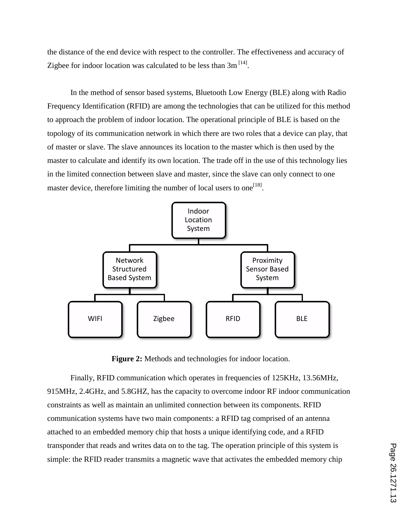the distance of the end device with respect to the controller. The effectiveness and accuracy of Zigbee for indoor location was calculated to be less than  $3m^{[14]}$ .

In the method of sensor based systems, Bluetooth Low Energy (BLE) along with Radio Frequency Identification (RFID) are among the technologies that can be utilized for this method to approach the problem of indoor location. The operational principle of BLE is based on the topology of its communication network in which there are two roles that a device can play, that of master or slave. The slave announces its location to the master which is then used by the master to calculate and identify its own location. The trade off in the use of this technology lies in the limited connection between slave and master, since the slave can only connect to one master device, therefore limiting the number of local users to one<sup>[18]</sup>.



**Figure 2:** Methods and technologies for indoor location.

Finally, RFID communication which operates in frequencies of 125KHz, 13.56MHz, 915MHz, 2.4GHz, and 5.8GHZ, has the capacity to overcome indoor RF indoor communication constraints as well as maintain an unlimited connection between its components. RFID communication systems have two main components: a RFID tag comprised of an antenna attached to an embedded memory chip that hosts a unique identifying code, and a RFID transponder that reads and writes data on to the tag. The operation principle of this system is simple: the RFID reader transmits a magnetic wave that activates the embedded memory chip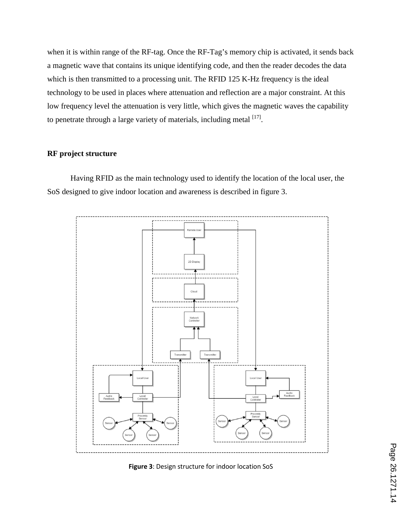when it is within range of the RF-tag. Once the RF-Tag's memory chip is activated, it sends back a magnetic wave that contains its unique identifying code, and then the reader decodes the data which is then transmitted to a processing unit. The RFID 125 K-Hz frequency is the ideal technology to be used in places where attenuation and reflection are a major constraint. At this low frequency level the attenuation is very little, which gives the magnetic waves the capability to penetrate through a large variety of materials, including metal  $[17]$ .

## **RF project structure**

Having RFID as the main technology used to identify the location of the local user, the SoS designed to give indoor location and awareness is described in figure 3.



**Figure 3**: Design structure for indoor location SoS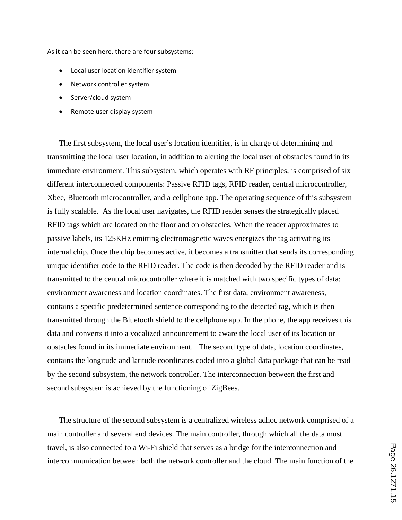As it can be seen here, there are four subsystems:

- Local user location identifier system
- Network controller system
- Server/cloud system
- Remote user display system

The first subsystem, the local user's location identifier, is in charge of determining and transmitting the local user location, in addition to alerting the local user of obstacles found in its immediate environment. This subsystem, which operates with RF principles, is comprised of six different interconnected components: Passive RFID tags, RFID reader, central microcontroller, Xbee, Bluetooth microcontroller, and a cellphone app. The operating sequence of this subsystem is fully scalable. As the local user navigates, the RFID reader senses the strategically placed RFID tags which are located on the floor and on obstacles. When the reader approximates to passive labels, its 125KHz emitting electromagnetic waves energizes the tag activating its internal chip. Once the chip becomes active, it becomes a transmitter that sends its corresponding unique identifier code to the RFID reader. The code is then decoded by the RFID reader and is transmitted to the central microcontroller where it is matched with two specific types of data: environment awareness and location coordinates. The first data, environment awareness, contains a specific predetermined sentence corresponding to the detected tag, which is then transmitted through the Bluetooth shield to the cellphone app. In the phone, the app receives this data and converts it into a vocalized announcement to aware the local user of its location or obstacles found in its immediate environment. The second type of data, location coordinates, contains the longitude and latitude coordinates coded into a global data package that can be read by the second subsystem, the network controller. The interconnection between the first and second subsystem is achieved by the functioning of ZigBees.

The structure of the second subsystem is a centralized wireless adhoc network comprised of a main controller and several end devices. The main controller, through which all the data must travel, is also connected to a Wi-Fi shield that serves as a bridge for the interconnection and intercommunication between both the network controller and the cloud. The main function of the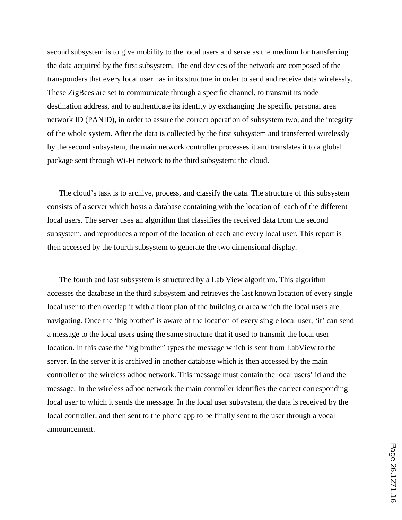second subsystem is to give mobility to the local users and serve as the medium for transferring the data acquired by the first subsystem. The end devices of the network are composed of the transponders that every local user has in its structure in order to send and receive data wirelessly. These ZigBees are set to communicate through a specific channel, to transmit its node destination address, and to authenticate its identity by exchanging the specific personal area network ID (PANID), in order to assure the correct operation of subsystem two, and the integrity of the whole system. After the data is collected by the first subsystem and transferred wirelessly by the second subsystem, the main network controller processes it and translates it to a global package sent through Wi-Fi network to the third subsystem: the cloud.

The cloud's task is to archive, process, and classify the data. The structure of this subsystem consists of a server which hosts a database containing with the location of each of the different local users. The server uses an algorithm that classifies the received data from the second subsystem, and reproduces a report of the location of each and every local user. This report is then accessed by the fourth subsystem to generate the two dimensional display.

The fourth and last subsystem is structured by a Lab View algorithm. This algorithm accesses the database in the third subsystem and retrieves the last known location of every single local user to then overlap it with a floor plan of the building or area which the local users are navigating. Once the 'big brother' is aware of the location of every single local user, 'it' can send a message to the local users using the same structure that it used to transmit the local user location. In this case the 'big brother' types the message which is sent from LabView to the server. In the server it is archived in another database which is then accessed by the main controller of the wireless adhoc network. This message must contain the local users' id and the message. In the wireless adhoc network the main controller identifies the correct corresponding local user to which it sends the message. In the local user subsystem, the data is received by the local controller, and then sent to the phone app to be finally sent to the user through a vocal announcement.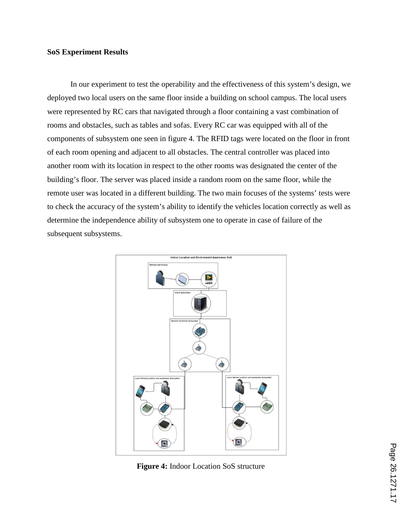## **SoS Experiment Results**

In our experiment to test the operability and the effectiveness of this system's design, we deployed two local users on the same floor inside a building on school campus. The local users were represented by RC cars that navigated through a floor containing a vast combination of rooms and obstacles, such as tables and sofas. Every RC car was equipped with all of the components of subsystem one seen in figure 4. The RFID tags were located on the floor in front of each room opening and adjacent to all obstacles. The central controller was placed into another room with its location in respect to the other rooms was designated the center of the building's floor. The server was placed inside a random room on the same floor, while the remote user was located in a different building. The two main focuses of the systems' tests were to check the accuracy of the system's ability to identify the vehicles location correctly as well as determine the independence ability of subsystem one to operate in case of failure of the subsequent subsystems.



**Figure 4:** Indoor Location SoS structure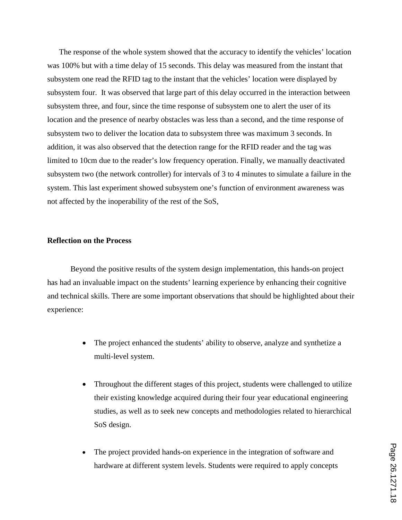The response of the whole system showed that the accuracy to identify the vehicles' location was 100% but with a time delay of 15 seconds. This delay was measured from the instant that subsystem one read the RFID tag to the instant that the vehicles' location were displayed by subsystem four. It was observed that large part of this delay occurred in the interaction between subsystem three, and four, since the time response of subsystem one to alert the user of its location and the presence of nearby obstacles was less than a second, and the time response of subsystem two to deliver the location data to subsystem three was maximum 3 seconds. In addition, it was also observed that the detection range for the RFID reader and the tag was limited to 10cm due to the reader's low frequency operation. Finally, we manually deactivated subsystem two (the network controller) for intervals of 3 to 4 minutes to simulate a failure in the system. This last experiment showed subsystem one's function of environment awareness was not affected by the inoperability of the rest of the SoS,

### **Reflection on the Process**

Beyond the positive results of the system design implementation, this hands-on project has had an invaluable impact on the students' learning experience by enhancing their cognitive and technical skills. There are some important observations that should be highlighted about their experience:

- The project enhanced the students' ability to observe, analyze and synthetize a multi-level system.
- Throughout the different stages of this project, students were challenged to utilize their existing knowledge acquired during their four year educational engineering studies, as well as to seek new concepts and methodologies related to hierarchical SoS design.
- The project provided hands-on experience in the integration of software and hardware at different system levels. Students were required to apply concepts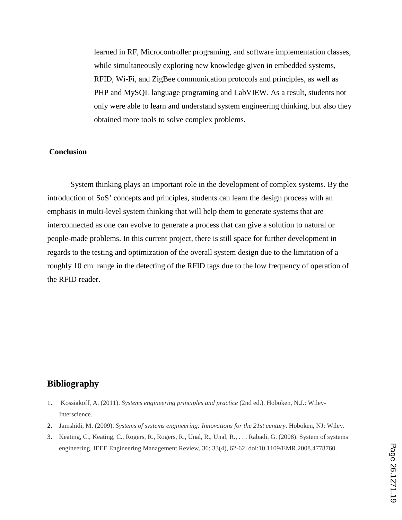learned in RF, Microcontroller programing, and software implementation classes, while simultaneously exploring new knowledge given in embedded systems, RFID, Wi-Fi, and ZigBee communication protocols and principles, as well as PHP and MySQL language programing and LabVIEW. As a result, students not only were able to learn and understand system engineering thinking, but also they obtained more tools to solve complex problems.

## **Conclusion**

System thinking plays an important role in the development of complex systems. By the introduction of SoS' concepts and principles, students can learn the design process with an emphasis in multi-level system thinking that will help them to generate systems that are interconnected as one can evolve to generate a process that can give a solution to natural or people-made problems. In this current project, there is still space for further development in regards to the testing and optimization of the overall system design due to the limitation of a roughly 10 cm range in the detecting of the RFID tags due to the low frequency of operation of the RFID reader.

# **Bibliography**

- 1. Kossiakoff, A. (2011). *Systems engineering principles and practice* (2nd ed.). Hoboken, N.J.: Wiley-Interscience.
- 2. Jamshidi, M. (2009). *Systems of systems engineering: Innovations for the 21st century*. Hoboken, NJ: Wiley.
- 3. Keating, C., Keating, C., Rogers, R., Rogers, R., Unal, R., Unal, R., . . . Rabadi, G. (2008). System of systems engineering. IEEE Engineering Management Review, 36; 33(4), 62-62. doi:10.1109/EMR.2008.4778760.